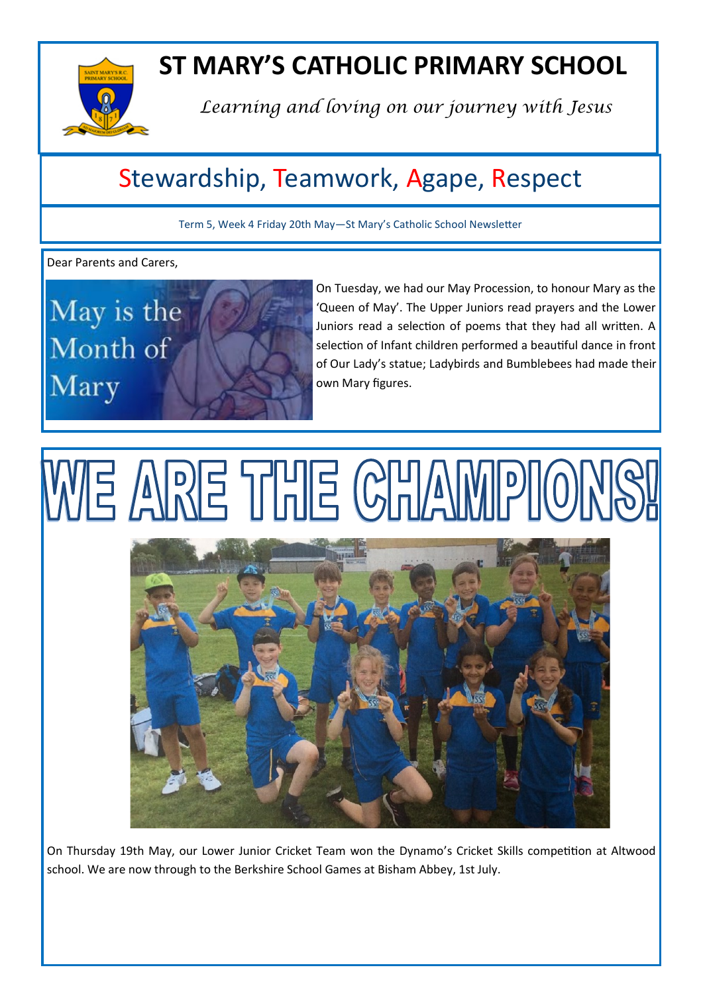

# **ST MARY'S CATHOLIC PRIMARY SCHOOL**

*Learning and loving on our journey with Jesus*

# Stewardship, Teamwork, Agape, Respect

Term 5, Week 4 Friday 20th May—St Mary's Catholic School Newsletter

Dear Parents and Carers,



On Tuesday, we had our May Procession, to honour Mary as the 'Queen of May'. The Upper Juniors read prayers and the Lower Juniors read a selection of poems that they had all written. A selection of Infant children performed a beautiful dance in front of Our Lady's statue; Ladybirds and Bumblebees had made their own Mary figures.

# WE ARE THE CHAIM



On Thursday 19th May, our Lower Junior Cricket Team won the Dynamo's Cricket Skills competition at Altwood school. We are now through to the Berkshire School Games at Bisham Abbey, 1st July.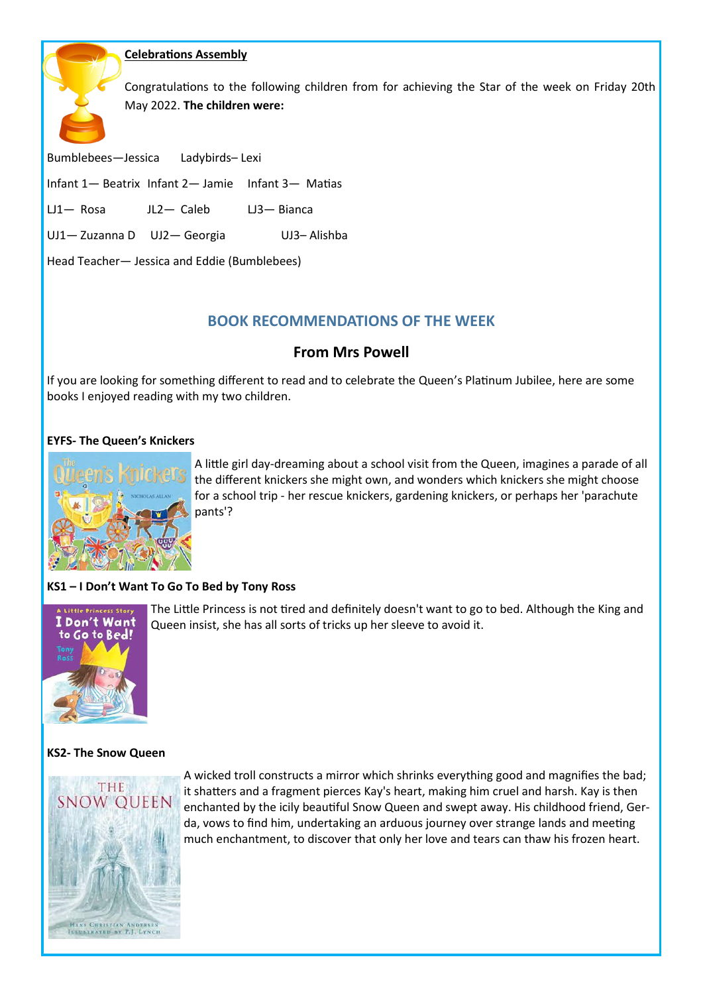### **Celebrations Assembly**

Congratulations to the following children from for achieving the Star of the week on Friday 20th May 2022. **The children were:**

Bumblebees—Jessica Ladybirds– Lexi

Infant 1— Beatrix Infant 2— Jamie Infant 3— Matias

LJ1— Rosa JL2— Caleb LJ3— Bianca

UJ1— Zuzanna D UJ2— Georgia UJ3– Alishba

Head Teacher— Jessica and Eddie (Bumblebees)

## **BOOK RECOMMENDATIONS OF THE WEEK**

### **From Mrs Powell**

If you are looking for something different to read and to celebrate the Queen's Platinum Jubilee, here are some books I enjoyed reading with my two children.

#### **EYFS- The Queen's Knickers**



A little girl day-dreaming about a school visit from the Queen, imagines a parade of all the different knickers she might own, and wonders which knickers she might choose for a school trip - her rescue knickers, gardening knickers, or perhaps her 'parachute pants'?

#### **KS1 – I Don't Want To Go To Bed by Tony Ross**



The Little Princess is not tired and definitely doesn't want to go to bed. Although the King and Queen insist, she has all sorts of tricks up her sleeve to avoid it.

#### **KS2- The Snow Queen**



A wicked troll constructs a mirror which shrinks everything good and magnifies the bad; it shatters and a fragment pierces Kay's heart, making him cruel and harsh. Kay is then enchanted by the icily beautiful Snow Queen and swept away. His childhood friend, Gerda, vows to find him, undertaking an arduous journey over strange lands and meeting much enchantment, to discover that only her love and tears can thaw his frozen heart.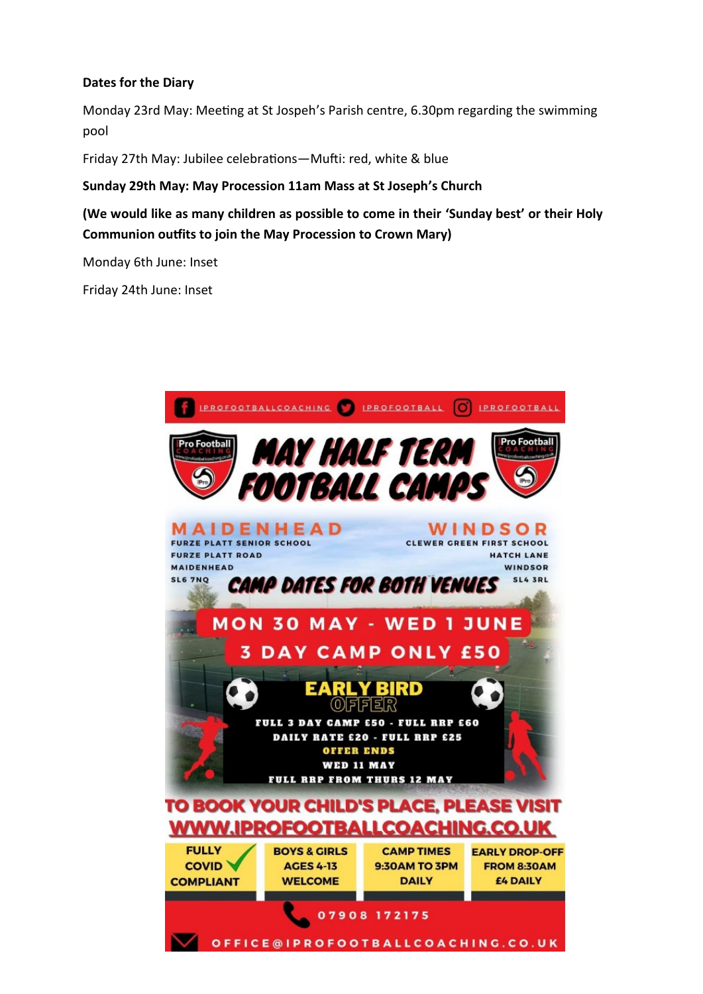## **Dates for the Diary**

Monday 23rd May: Meeting at St Jospeh's Parish centre, 6.30pm regarding the swimming pool

Friday 27th May: Jubilee celebrations—Mufti: red, white & blue

**Sunday 29th May: May Procession 11am Mass at St Joseph's Church** 

**(We would like as many children as possible to come in their 'Sunday best' or their Holy Communion outfits to join the May Procession to Crown Mary)**

Monday 6th June: Inset

Friday 24th June: Inset